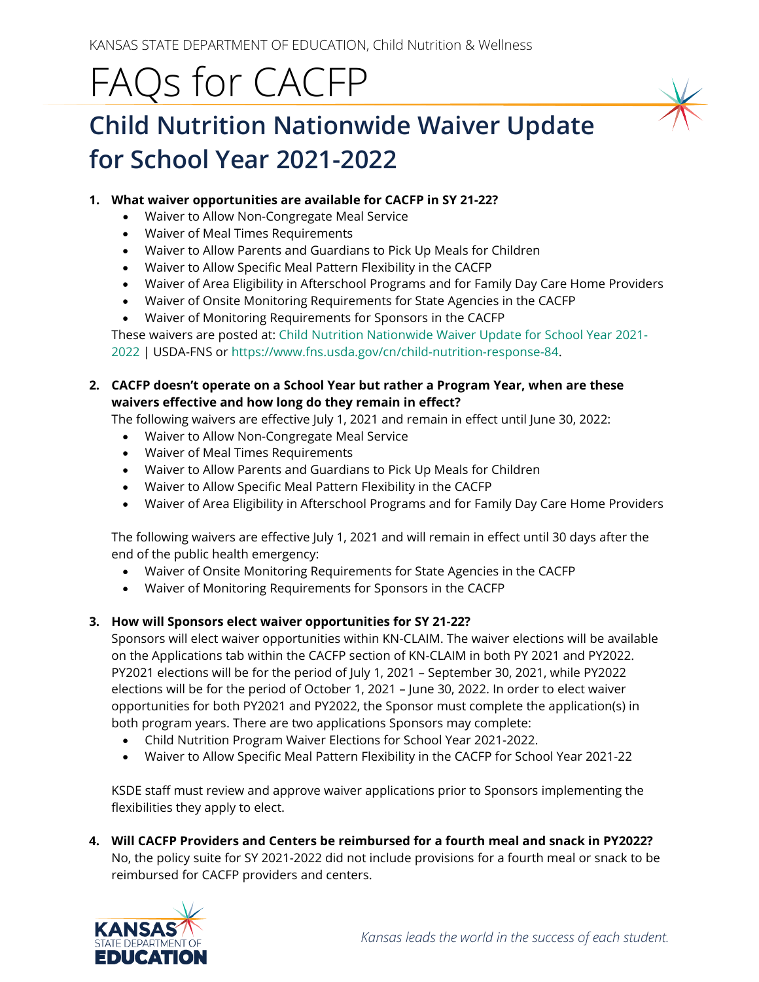# FAQs for CACFP



# **Child Nutrition Nationwide Waiver Update for School Year 2021-2022**

### **1. What waiver opportunities are available for CACFP in SY 21-22?**

- Waiver to Allow Non-Congregate Meal Service
- Waiver of Meal Times Requirements
- Waiver to Allow Parents and Guardians to Pick Up Meals for Children
- Waiver to Allow Specific Meal Pattern Flexibility in the CACFP
- Waiver of Area Eligibility in Afterschool Programs and for Family Day Care Home Providers
- Waiver of Onsite Monitoring Requirements for State Agencies in the CACFP
- Waiver of Monitoring Requirements for Sponsors in the CACFP

These waivers are posted at: [Child Nutrition Nationwide Waiver Update for School Year 2021-](https://www.fns.usda.gov/cn/child-nutrition-response-84) [2022](https://www.fns.usda.gov/cn/child-nutrition-response-84) | USDA-FNS o[r https://www.fns.usda.gov/cn/child-nutrition-response-84.](https://www.fns.usda.gov/cn/child-nutrition-response-84)

#### **2. CACFP doesn't operate on a School Year but rather a Program Year, when are these waivers effective and how long do they remain in effect?**

The following waivers are effective July 1, 2021 and remain in effect until June 30, 2022:

- Waiver to Allow Non-Congregate Meal Service
- Waiver of Meal Times Requirements
- Waiver to Allow Parents and Guardians to Pick Up Meals for Children
- Waiver to Allow Specific Meal Pattern Flexibility in the CACFP
- Waiver of Area Eligibility in Afterschool Programs and for Family Day Care Home Providers

The following waivers are effective July 1, 2021 and will remain in effect until 30 days after the end of the public health emergency:

- Waiver of Onsite Monitoring Requirements for State Agencies in the CACFP
- Waiver of Monitoring Requirements for Sponsors in the CACFP

#### **3. How will Sponsors elect waiver opportunities for SY 21-22?**

Sponsors will elect waiver opportunities within KN-CLAIM. The waiver elections will be available on the Applications tab within the CACFP section of KN-CLAIM in both PY 2021 and PY2022. PY2021 elections will be for the period of July 1, 2021 – September 30, 2021, while PY2022 elections will be for the period of October 1, 2021 – June 30, 2022. In order to elect waiver opportunities for both PY2021 and PY2022, the Sponsor must complete the application(s) in both program years. There are two applications Sponsors may complete:

- Child Nutrition Program Waiver Elections for School Year 2021-2022.
- Waiver to Allow Specific Meal Pattern Flexibility in the CACFP for School Year 2021-22

KSDE staff must review and approve waiver applications prior to Sponsors implementing the flexibilities they apply to elect.

**4. Will CACFP Providers and Centers be reimbursed for a fourth meal and snack in PY2022?** No, the policy suite for SY 2021-2022 did not include provisions for a fourth meal or snack to be reimbursed for CACFP providers and centers.

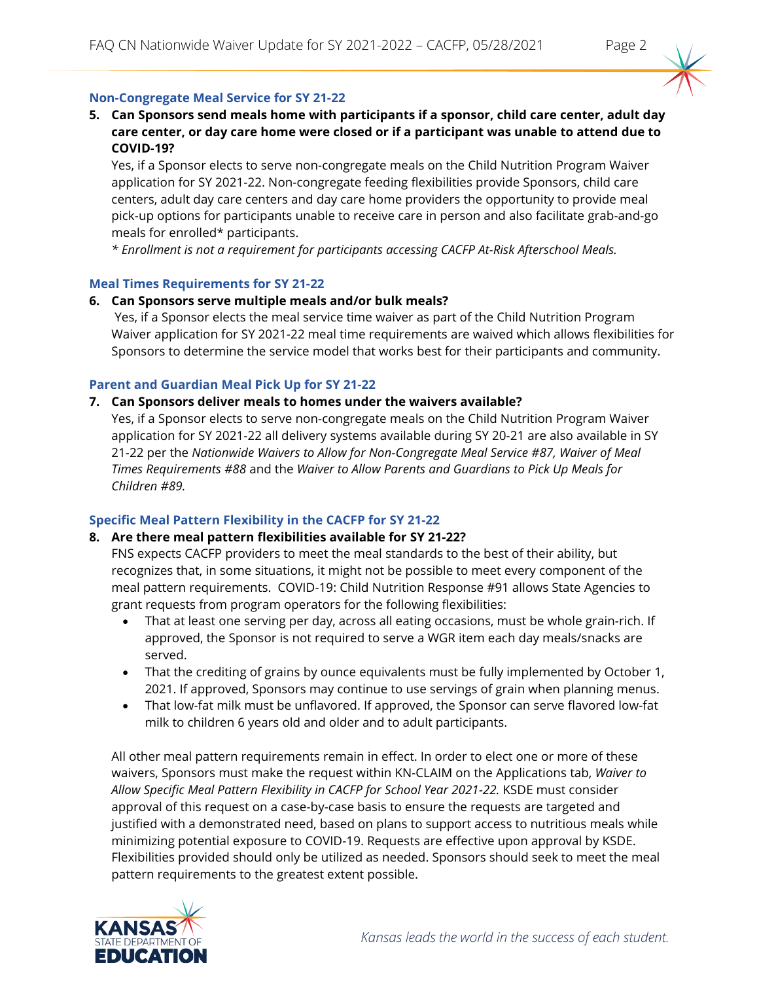# **Non-Congregate Meal Service for SY 21-22**

**5. Can Sponsors send meals home with participants if a sponsor, child care center, adult day care center, or day care home were closed or if a participant was unable to attend due to COVID-19?**

Yes, if a Sponsor elects to serve non-congregate meals on the Child Nutrition Program Waiver application for SY 2021-22. Non-congregate feeding flexibilities provide Sponsors, child care centers, adult day care centers and day care home providers the opportunity to provide meal pick-up options for participants unable to receive care in person and also facilitate grab-and-go meals for enrolled\* participants.

*\* Enrollment is not a requirement for participants accessing CACFP At-Risk Afterschool Meals.*

#### **Meal Times Requirements for SY 21-22**

#### **6. Can Sponsors serve multiple meals and/or bulk meals?**

Yes, if a Sponsor elects the meal service time waiver as part of the Child Nutrition Program Waiver application for SY 2021-22 meal time requirements are waived which allows flexibilities for Sponsors to determine the service model that works best for their participants and community.

#### **Parent and Guardian Meal Pick Up for SY 21-22**

#### **7. Can Sponsors deliver meals to homes under the waivers available?**

Yes, if a Sponsor elects to serve non-congregate meals on the Child Nutrition Program Waiver application for SY 2021-22 all delivery systems available during SY 20-21 are also available in SY 21-22 per the *Nationwide Waivers to Allow for Non-Congregate Meal Service #87, Waiver of Meal Times Requirements #88* and the *Waiver to Allow Parents and Guardians to Pick Up Meals for Children #89.* 

#### **Specific Meal Pattern Flexibility in the CACFP for SY 21-22**

#### **8. Are there meal pattern flexibilities available for SY 21-22?**

FNS expects CACFP providers to meet the meal standards to the best of their ability, but recognizes that, in some situations, it might not be possible to meet every component of the meal pattern requirements. COVID-19: Child Nutrition Response #91 allows State Agencies to grant requests from program operators for the following flexibilities:

- That at least one serving per day, across all eating occasions, must be whole grain-rich. If approved, the Sponsor is not required to serve a WGR item each day meals/snacks are served.
- That the crediting of grains by ounce equivalents must be fully implemented by October 1, 2021. If approved, Sponsors may continue to use servings of grain when planning menus.
- That low-fat milk must be unflavored. If approved, the Sponsor can serve flavored low-fat milk to children 6 years old and older and to adult participants.

All other meal pattern requirements remain in effect. In order to elect one or more of these waivers, Sponsors must make the request within KN-CLAIM on the Applications tab, *Waiver to Allow Specific Meal Pattern Flexibility in CACFP for School Year 2021-22.* KSDE must consider approval of this request on a case-by-case basis to ensure the requests are targeted and justified with a demonstrated need, based on plans to support access to nutritious meals while minimizing potential exposure to COVID-19. Requests are effective upon approval by KSDE. Flexibilities provided should only be utilized as needed. Sponsors should seek to meet the meal pattern requirements to the greatest extent possible.

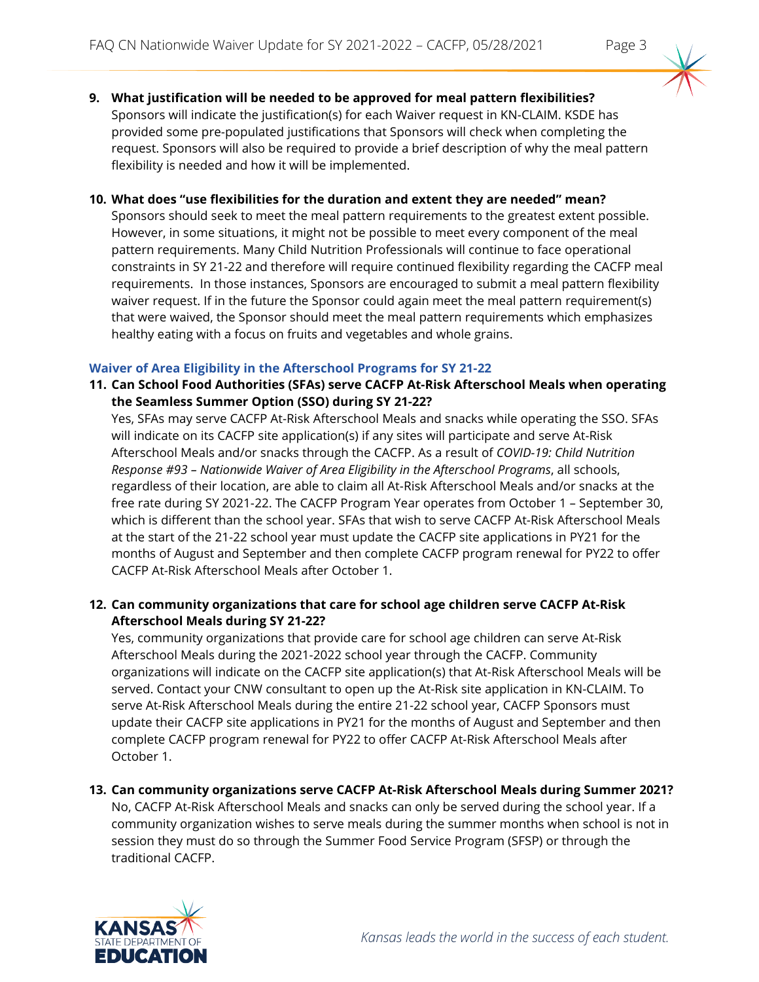**9. What justification will be needed to be approved for meal pattern flexibilities?** Sponsors will indicate the justification(s) for each Waiver request in KN-CLAIM. KSDE has provided some pre-populated justifications that Sponsors will check when completing the request. Sponsors will also be required to provide a brief description of why the meal pattern flexibility is needed and how it will be implemented.

# **10. What does "use flexibilities for the duration and extent they are needed" mean?**

Sponsors should seek to meet the meal pattern requirements to the greatest extent possible. However, in some situations, it might not be possible to meet every component of the meal pattern requirements. Many Child Nutrition Professionals will continue to face operational constraints in SY 21-22 and therefore will require continued flexibility regarding the CACFP meal requirements. In those instances, Sponsors are encouraged to submit a meal pattern flexibility waiver request. If in the future the Sponsor could again meet the meal pattern requirement(s) that were waived, the Sponsor should meet the meal pattern requirements which emphasizes healthy eating with a focus on fruits and vegetables and whole grains.

# **Waiver of Area Eligibility in the Afterschool Programs for SY 21-22**

**11. Can School Food Authorities (SFAs) serve CACFP At-Risk Afterschool Meals when operating the Seamless Summer Option (SSO) during SY 21-22?**

Yes, SFAs may serve CACFP At-Risk Afterschool Meals and snacks while operating the SSO. SFAs will indicate on its CACFP site application(s) if any sites will participate and serve At-Risk Afterschool Meals and/or snacks through the CACFP. As a result of *COVID-19: Child Nutrition Response #93 – Nationwide Waiver of Area Eligibility in the Afterschool Programs*, all schools, regardless of their location, are able to claim all At-Risk Afterschool Meals and/or snacks at the free rate during SY 2021-22. The CACFP Program Year operates from October 1 – September 30, which is different than the school year. SFAs that wish to serve CACFP At-Risk Afterschool Meals at the start of the 21-22 school year must update the CACFP site applications in PY21 for the months of August and September and then complete CACFP program renewal for PY22 to offer CACFP At-Risk Afterschool Meals after October 1.

# **12. Can community organizations that care for school age children serve CACFP At-Risk Afterschool Meals during SY 21-22?**

Yes, community organizations that provide care for school age children can serve At-Risk Afterschool Meals during the 2021-2022 school year through the CACFP. Community organizations will indicate on the CACFP site application(s) that At-Risk Afterschool Meals will be served. Contact your CNW consultant to open up the At-Risk site application in KN-CLAIM. To serve At-Risk Afterschool Meals during the entire 21-22 school year, CACFP Sponsors must update their CACFP site applications in PY21 for the months of August and September and then complete CACFP program renewal for PY22 to offer CACFP At-Risk Afterschool Meals after October 1.

# **13. Can community organizations serve CACFP At-Risk Afterschool Meals during Summer 2021?**

No, CACFP At-Risk Afterschool Meals and snacks can only be served during the school year. If a community organization wishes to serve meals during the summer months when school is not in session they must do so through the Summer Food Service Program (SFSP) or through the traditional CACFP.

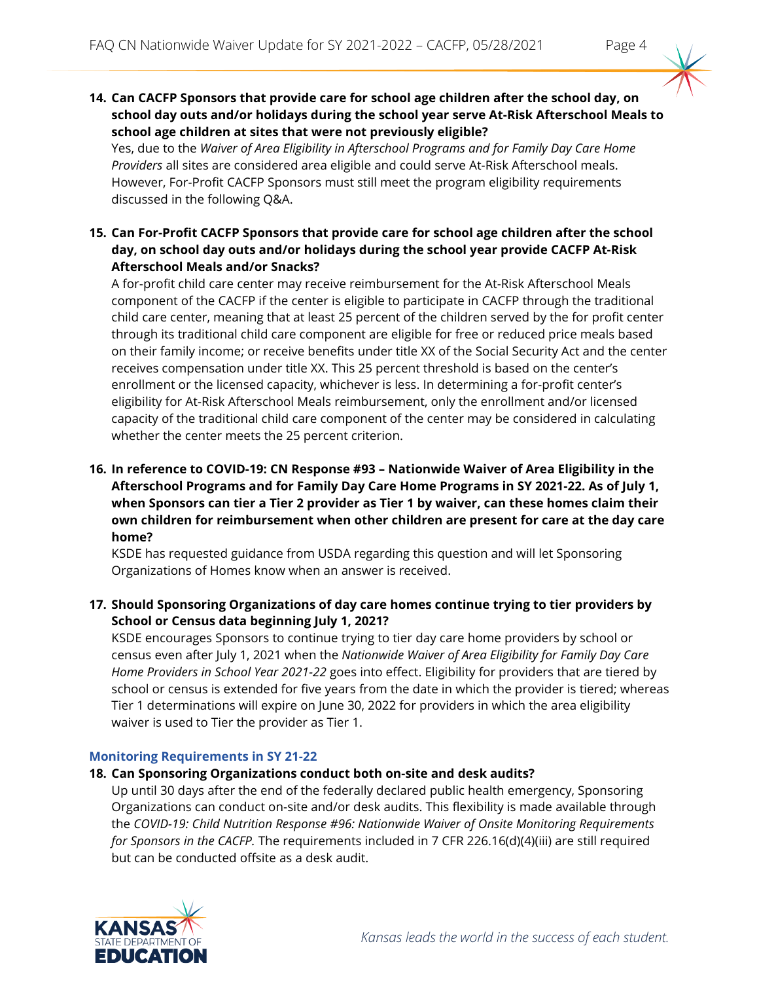**14. Can CACFP Sponsors that provide care for school age children after the school day, on school day outs and/or holidays during the school year serve At-Risk Afterschool Meals to school age children at sites that were not previously eligible?** 

Yes, due to the *Waiver of Area Eligibility in Afterschool Programs and for Family Day Care Home Providers* all sites are considered area eligible and could serve At-Risk Afterschool meals. However, For-Profit CACFP Sponsors must still meet the program eligibility requirements discussed in the following Q&A.

**15. Can For-Profit CACFP Sponsors that provide care for school age children after the school day, on school day outs and/or holidays during the school year provide CACFP At-Risk Afterschool Meals and/or Snacks?**

A for-profit child care center may receive reimbursement for the At-Risk Afterschool Meals component of the CACFP if the center is eligible to participate in CACFP through the traditional child care center, meaning that at least 25 percent of the children served by the for profit center through its traditional child care component are eligible for free or reduced price meals based on their family income; or receive benefits under title XX of the Social Security Act and the center receives compensation under title XX. This 25 percent threshold is based on the center's enrollment or the licensed capacity, whichever is less. In determining a for-profit center's eligibility for At-Risk Afterschool Meals reimbursement, only the enrollment and/or licensed capacity of the traditional child care component of the center may be considered in calculating whether the center meets the 25 percent criterion.

**16. In reference to COVID-19: CN Response #93 – Nationwide Waiver of Area Eligibility in the Afterschool Programs and for Family Day Care Home Programs in SY 2021-22. As of July 1, when Sponsors can tier a Tier 2 provider as Tier 1 by waiver, can these homes claim their own children for reimbursement when other children are present for care at the day care home?** 

KSDE has requested guidance from USDA regarding this question and will let Sponsoring Organizations of Homes know when an answer is received.

**17. Should Sponsoring Organizations of day care homes continue trying to tier providers by School or Census data beginning July 1, 2021?**

KSDE encourages Sponsors to continue trying to tier day care home providers by school or census even after July 1, 2021 when the *Nationwide Waiver of Area Eligibility for Family Day Care Home Providers in School Year 2021-22* goes into effect. Eligibility for providers that are tiered by school or census is extended for five years from the date in which the provider is tiered; whereas Tier 1 determinations will expire on June 30, 2022 for providers in which the area eligibility waiver is used to Tier the provider as Tier 1.

#### **Monitoring Requirements in SY 21-22**

#### **18. Can Sponsoring Organizations conduct both on-site and desk audits?**

Up until 30 days after the end of the federally declared public health emergency, Sponsoring Organizations can conduct on-site and/or desk audits. This flexibility is made available through the *COVID-19: Child Nutrition Response #96: Nationwide Waiver of Onsite Monitoring Requirements for Sponsors in the CACFP.* The requirements included in 7 CFR 226.16(d)(4)(iii) are still required but can be conducted offsite as a desk audit.

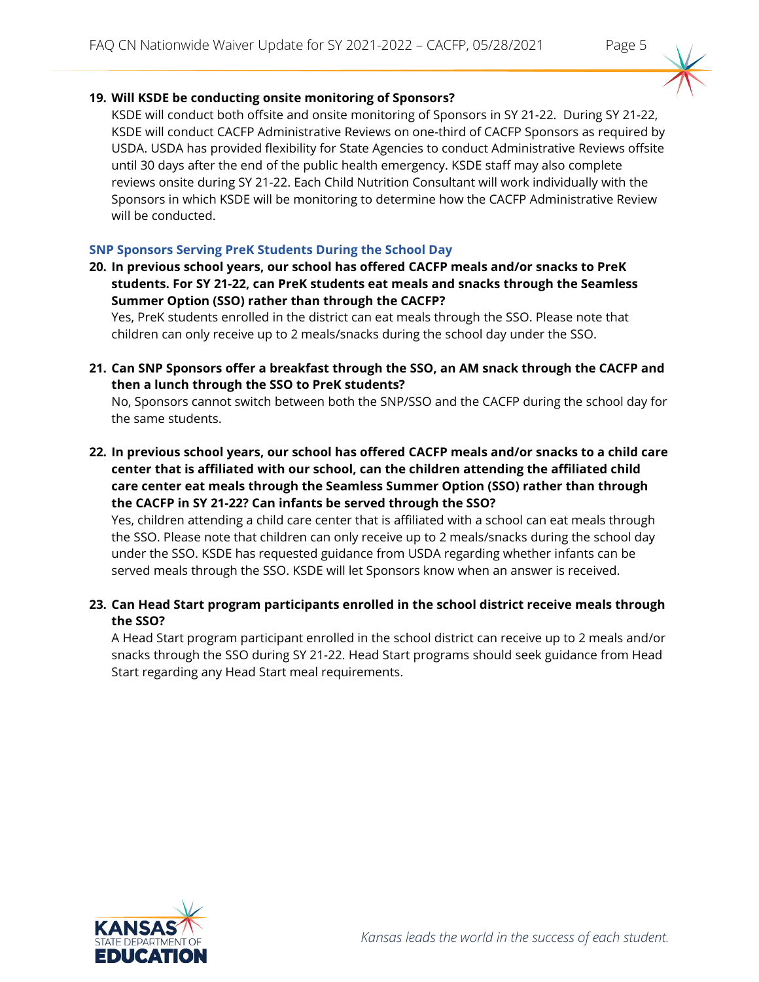# **19. Will KSDE be conducting onsite monitoring of Sponsors?**

KSDE will conduct both offsite and onsite monitoring of Sponsors in SY 21-22. During SY 21-22, KSDE will conduct CACFP Administrative Reviews on one-third of CACFP Sponsors as required by USDA. USDA has provided flexibility for State Agencies to conduct Administrative Reviews offsite until 30 days after the end of the public health emergency. KSDE staff may also complete reviews onsite during SY 21-22. Each Child Nutrition Consultant will work individually with the Sponsors in which KSDE will be monitoring to determine how the CACFP Administrative Review will be conducted.

# **SNP Sponsors Serving PreK Students During the School Day**

**20. In previous school years, our school has offered CACFP meals and/or snacks to PreK students. For SY 21-22, can PreK students eat meals and snacks through the Seamless Summer Option (SSO) rather than through the CACFP?**

Yes, PreK students enrolled in the district can eat meals through the SSO. Please note that children can only receive up to 2 meals/snacks during the school day under the SSO.

**21. Can SNP Sponsors offer a breakfast through the SSO, an AM snack through the CACFP and then a lunch through the SSO to PreK students?**

No, Sponsors cannot switch between both the SNP/SSO and the CACFP during the school day for the same students.

**22. In previous school years, our school has offered CACFP meals and/or snacks to a child care center that is affiliated with our school, can the children attending the affiliated child care center eat meals through the Seamless Summer Option (SSO) rather than through the CACFP in SY 21-22? Can infants be served through the SSO?**

Yes, children attending a child care center that is affiliated with a school can eat meals through the SSO. Please note that children can only receive up to 2 meals/snacks during the school day under the SSO. KSDE has requested guidance from USDA regarding whether infants can be served meals through the SSO. KSDE will let Sponsors know when an answer is received.

# **23. Can Head Start program participants enrolled in the school district receive meals through the SSO?**

A Head Start program participant enrolled in the school district can receive up to 2 meals and/or snacks through the SSO during SY 21-22. Head Start programs should seek guidance from Head Start regarding any Head Start meal requirements.